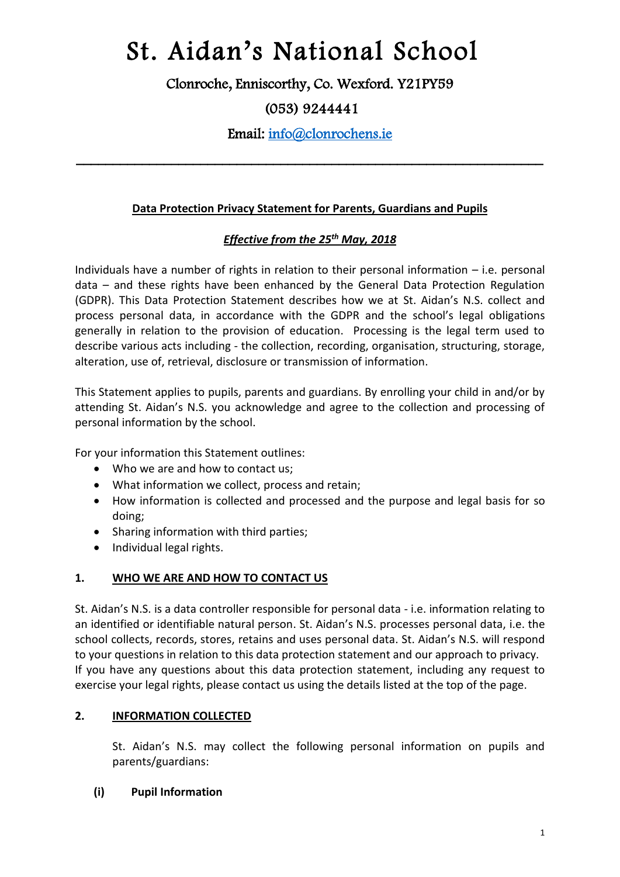Clonroche, Enniscorthy, Co. Wexford. Y21PY59

## (053) 9244441

Email: [info@clonrochens.ie](mailto:info@clonrochens.ie) 

\_\_\_\_\_\_\_\_\_\_\_\_\_\_\_\_\_\_\_\_\_\_\_\_\_\_\_\_\_\_\_\_\_\_\_\_\_\_\_\_\_\_\_\_\_\_\_\_\_\_\_\_\_\_\_\_\_\_\_\_\_\_\_\_

## **Data Protection Privacy Statement for Parents, Guardians and Pupils**

## *Effective from the 25th May, 2018*

Individuals have a number of rights in relation to their personal information – i.e. personal data – and these rights have been enhanced by the General Data Protection Regulation (GDPR). This Data Protection Statement describes how we at St. Aidan's N.S. collect and process personal data, in accordance with the GDPR and the school's legal obligations generally in relation to the provision of education. Processing is the legal term used to describe various acts including - the collection, recording, organisation, structuring, storage, alteration, use of, retrieval, disclosure or transmission of information.

This Statement applies to pupils, parents and guardians. By enrolling your child in and/or by attending St. Aidan's N.S. you acknowledge and agree to the collection and processing of personal information by the school.

For your information this Statement outlines:

- Who we are and how to contact us;
- What information we collect, process and retain;
- How information is collected and processed and the purpose and legal basis for so doing;
- Sharing information with third parties:
- Individual legal rights.

#### **1. WHO WE ARE AND HOW TO CONTACT US**

St. Aidan's N.S. is a data controller responsible for personal data - i.e. information relating to an identified or identifiable natural person. St. Aidan's N.S. processes personal data, i.e. the school collects, records, stores, retains and uses personal data. St. Aidan's N.S. will respond to your questions in relation to this data protection statement and our approach to privacy. If you have any questions about this data protection statement, including any request to exercise your legal rights, please contact us using the details listed at the top of the page.

## **2. INFORMATION COLLECTED**

St. Aidan's N.S. may collect the following personal information on pupils and parents/guardians:

#### **(i) Pupil Information**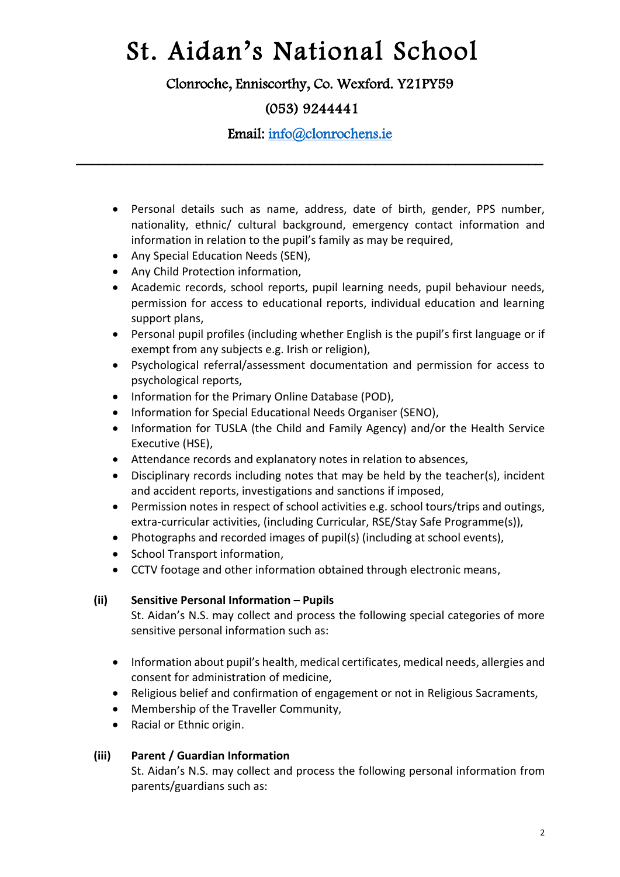Clonroche, Enniscorthy, Co. Wexford. Y21PY59

## (053) 9244441

Email: [info@clonrochens.ie](mailto:info@clonrochens.ie) 

\_\_\_\_\_\_\_\_\_\_\_\_\_\_\_\_\_\_\_\_\_\_\_\_\_\_\_\_\_\_\_\_\_\_\_\_\_\_\_\_\_\_\_\_\_\_\_\_\_\_\_\_\_\_\_\_\_\_\_\_\_\_\_\_

- Personal details such as name, address, date of birth, gender, PPS number, nationality, ethnic/ cultural background, emergency contact information and information in relation to the pupil's family as may be required,
- Any Special Education Needs (SEN),
- Any Child Protection information,
- Academic records, school reports, pupil learning needs, pupil behaviour needs, permission for access to educational reports, individual education and learning support plans,
- Personal pupil profiles (including whether English is the pupil's first language or if exempt from any subjects e.g. Irish or religion),
- Psychological referral/assessment documentation and permission for access to psychological reports,
- Information for the Primary Online Database (POD),
- Information for Special Educational Needs Organiser (SENO),
- Information for TUSLA (the Child and Family Agency) and/or the Health Service Executive (HSE),
- Attendance records and explanatory notes in relation to absences,
- Disciplinary records including notes that may be held by the teacher(s), incident and accident reports, investigations and sanctions if imposed,
- Permission notes in respect of school activities e.g. school tours/trips and outings, extra-curricular activities, (including Curricular, RSE/Stay Safe Programme(s)),
- Photographs and recorded images of pupil(s) (including at school events),
- School Transport information.
- CCTV footage and other information obtained through electronic means,

## **(ii) Sensitive Personal Information – Pupils**

St. Aidan's N.S. may collect and process the following special categories of more sensitive personal information such as:

- Information about pupil's health, medical certificates, medical needs, allergies and consent for administration of medicine,
- Religious belief and confirmation of engagement or not in Religious Sacraments,
- Membership of the Traveller Community,
- Racial or Ethnic origin.

## **(iii) Parent / Guardian Information**

St. Aidan's N.S. may collect and process the following personal information from parents/guardians such as: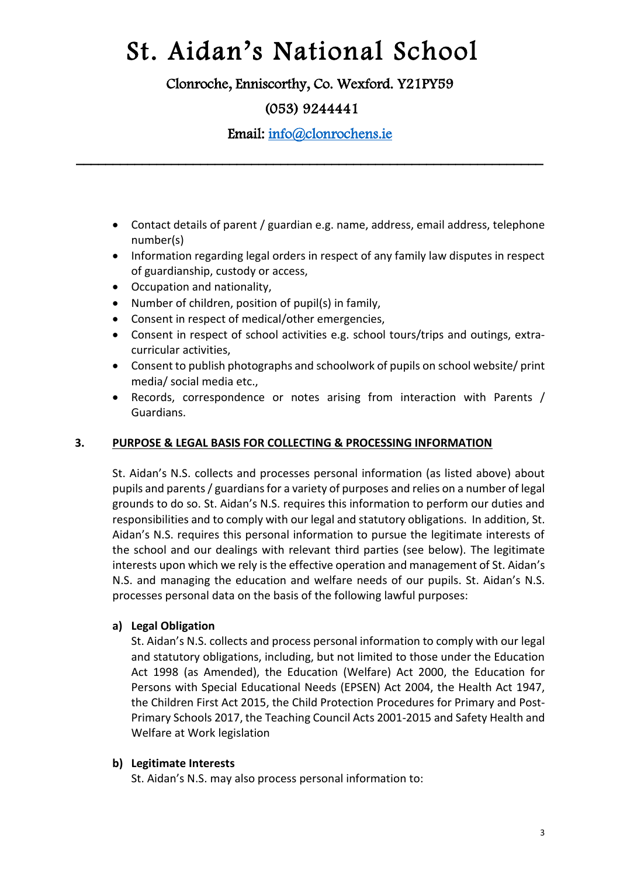Clonroche, Enniscorthy, Co. Wexford. Y21PY59

## (053) 9244441

Email: [info@clonrochens.ie](mailto:info@clonrochens.ie) 

\_\_\_\_\_\_\_\_\_\_\_\_\_\_\_\_\_\_\_\_\_\_\_\_\_\_\_\_\_\_\_\_\_\_\_\_\_\_\_\_\_\_\_\_\_\_\_\_\_\_\_\_\_\_\_\_\_\_\_\_\_\_\_\_

- Contact details of parent / guardian e.g. name, address, email address, telephone number(s)
- Information regarding legal orders in respect of any family law disputes in respect of guardianship, custody or access,
- Occupation and nationality,
- Number of children, position of pupil(s) in family,
- Consent in respect of medical/other emergencies,
- Consent in respect of school activities e.g. school tours/trips and outings, extracurricular activities,
- Consent to publish photographs and schoolwork of pupils on school website/ print media/ social media etc.,
- Records, correspondence or notes arising from interaction with Parents / Guardians.

## **3. PURPOSE & LEGAL BASIS FOR COLLECTING & PROCESSING INFORMATION**

St. Aidan's N.S. collects and processes personal information (as listed above) about pupils and parents / guardians for a variety of purposes and relies on a number of legal grounds to do so. St. Aidan's N.S. requires this information to perform our duties and responsibilities and to comply with our legal and statutory obligations. In addition, St. Aidan's N.S. requires this personal information to pursue the legitimate interests of the school and our dealings with relevant third parties (see below). The legitimate interests upon which we rely is the effective operation and management of St. Aidan's N.S. and managing the education and welfare needs of our pupils. St. Aidan's N.S. processes personal data on the basis of the following lawful purposes:

## **a) Legal Obligation**

St. Aidan's N.S. collects and process personal information to comply with our legal and statutory obligations, including, but not limited to those under the Education Act 1998 (as Amended), the Education (Welfare) Act 2000, the Education for Persons with Special Educational Needs (EPSEN) Act 2004, the Health Act 1947, the Children First Act 2015, the Child Protection Procedures for Primary and Post-Primary Schools 2017, the Teaching Council Acts 2001-2015 and Safety Health and Welfare at Work legislation

#### **b) Legitimate Interests**

St. Aidan's N.S. may also process personal information to: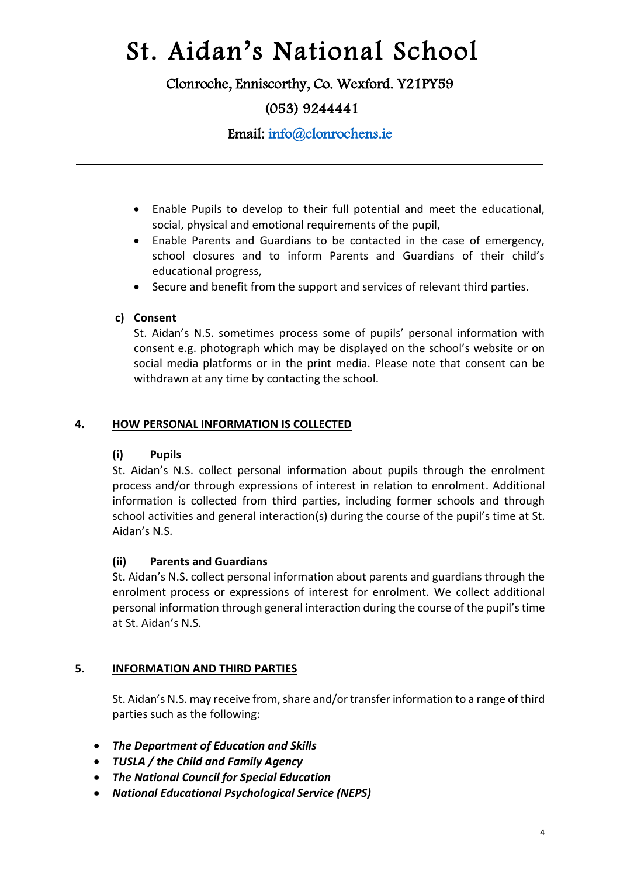Clonroche, Enniscorthy, Co. Wexford. Y21PY59

## (053) 9244441

Email: [info@clonrochens.ie](mailto:info@clonrochens.ie) 

\_\_\_\_\_\_\_\_\_\_\_\_\_\_\_\_\_\_\_\_\_\_\_\_\_\_\_\_\_\_\_\_\_\_\_\_\_\_\_\_\_\_\_\_\_\_\_\_\_\_\_\_\_\_\_\_\_\_\_\_\_\_\_\_

- Enable Pupils to develop to their full potential and meet the educational, social, physical and emotional requirements of the pupil,
- Enable Parents and Guardians to be contacted in the case of emergency, school closures and to inform Parents and Guardians of their child's educational progress,
- Secure and benefit from the support and services of relevant third parties.

## **c) Consent**

St. Aidan's N.S. sometimes process some of pupils' personal information with consent e.g. photograph which may be displayed on the school's website or on social media platforms or in the print media. Please note that consent can be withdrawn at any time by contacting the school.

## **4. HOW PERSONAL INFORMATION IS COLLECTED**

## **(i) Pupils**

St. Aidan's N.S. collect personal information about pupils through the enrolment process and/or through expressions of interest in relation to enrolment. Additional information is collected from third parties, including former schools and through school activities and general interaction(s) during the course of the pupil's time at St. Aidan's N.S.

## **(ii) Parents and Guardians**

St. Aidan's N.S. collect personal information about parents and guardians through the enrolment process or expressions of interest for enrolment. We collect additional personal information through general interaction during the course of the pupil'stime at St. Aidan's N.S.

## **5. INFORMATION AND THIRD PARTIES**

St. Aidan's N.S. may receive from, share and/or transfer information to a range of third parties such as the following:

- *The Department of Education and Skills*
- *TUSLA / the Child and Family Agency*
- *The National Council for Special Education*
- *National Educational Psychological Service (NEPS)*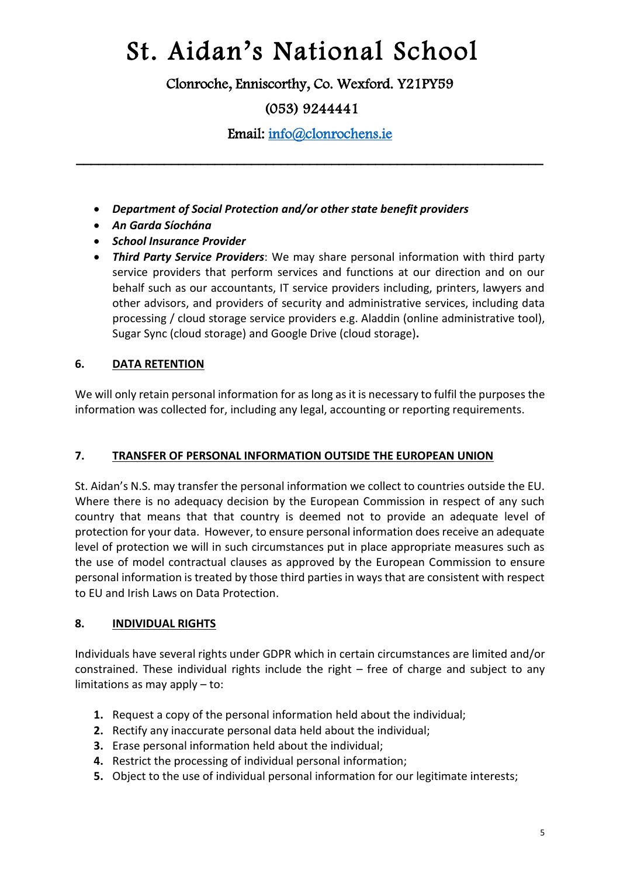Clonroche, Enniscorthy, Co. Wexford. Y21PY59

## (053) 9244441

Email: [info@clonrochens.ie](mailto:info@clonrochens.ie) 

\_\_\_\_\_\_\_\_\_\_\_\_\_\_\_\_\_\_\_\_\_\_\_\_\_\_\_\_\_\_\_\_\_\_\_\_\_\_\_\_\_\_\_\_\_\_\_\_\_\_\_\_\_\_\_\_\_\_\_\_\_\_\_\_

- *Department of Social Protection and/or other state benefit providers*
- *An Garda Síochána*
- *School Insurance Provider*
- *Third Party Service Providers*: We may share personal information with third party service providers that perform services and functions at our direction and on our behalf such as our accountants, IT service providers including, printers, lawyers and other advisors, and providers of security and administrative services, including data processing / cloud storage service providers e.g. Aladdin (online administrative tool), Sugar Sync (cloud storage) and Google Drive (cloud storage)**.**

## **6. DATA RETENTION**

We will only retain personal information for as long as it is necessary to fulfil the purposes the information was collected for, including any legal, accounting or reporting requirements.

## **7. TRANSFER OF PERSONAL INFORMATION OUTSIDE THE EUROPEAN UNION**

St. Aidan's N.S. may transfer the personal information we collect to countries outside the EU. Where there is no adequacy decision by the European Commission in respect of any such country that means that that country is deemed not to provide an adequate level of protection for your data. However, to ensure personal information does receive an adequate level of protection we will in such circumstances put in place appropriate measures such as the use of model contractual clauses as approved by the European Commission to ensure personal information is treated by those third parties in ways that are consistent with respect to EU and Irish Laws on Data Protection.

## **8. INDIVIDUAL RIGHTS**

Individuals have several rights under GDPR which in certain circumstances are limited and/or constrained. These individual rights include the right  $-$  free of charge and subject to any limitations as may apply – to:

- **1.** Request a copy of the personal information held about the individual;
- **2.** Rectify any inaccurate personal data held about the individual;
- **3.** Erase personal information held about the individual;
- **4.** Restrict the processing of individual personal information;
- **5.** Object to the use of individual personal information for our legitimate interests;